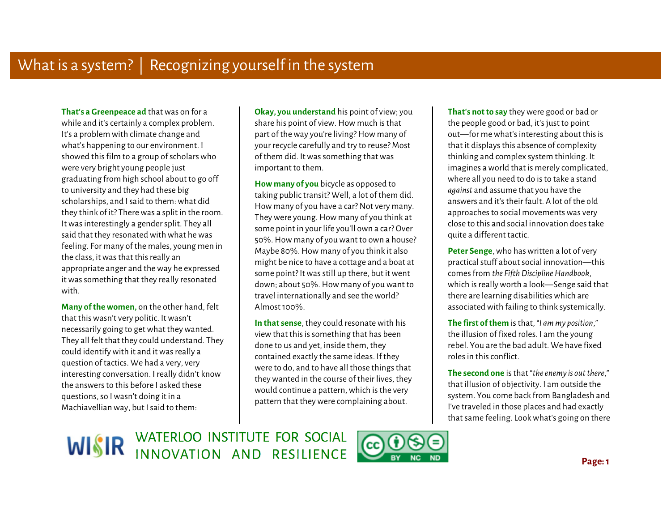**That's a Greenpeace ad** that was on for a while and it's certainly a complex problem. It's a problem with climate change and what's happening to our environment. I showed this film to a group of scholars who were very bright young people just graduating from high school about to go off to university and they had these big scholarships, and I said to them: what did they think of it? There was a split in the room. It was interestingly a gender split. They all said that they resonated with what he was feeling. For many of the males, young men in the class, it was that this really an appropriate anger and the way he expressed it was something that they really resonated with.

 **Many of the women,** on the other hand, felt that this wasn't very politic. It wasn't necessarily going to get what they wanted. They all felt that they could understand. They could identify with it and it was really a question of tactics. We had a very, very interesting conversation. I really didn't know the answers to this before I asked these questions, so I wasn't doing it in a Machiavellian way, but I said to them:

 **Okay, you understand** his point of view; you share his point of view. How much is that part of the way you're living? How many of your recycle carefully and try to reuse? Most of them did. It was something that was important to them.

**How many of you** bicycle as opposed to taking public transit? Well, a lot of them did. How many of you have a car? Not very many. They were young. How many of you think at some point in your life you'll own a car? Over 50%. How many of you want to own a house? Maybe 80%. How many of you think it also might be nice to have a cottage and a boat at some point? It was still up there, but it went down; about 50%. How many of you want to travel internationally and see the world? Almost 100%.

**In that sense**, they could resonate with his view that this is something that has been done to us and yet, inside them, they contained exactly the same ideas. If they were to do, and to have all those things that they wanted in the course of their lives, they would continue a pattern, which is the very pattern that they were complaining about.

**That's not to say** they were good or bad or the people good or bad, it's just to point out—for me what's interesting about this is that it displays this absence of complexity thinking and complex system thinking. It imagines a world that is merely complicated, where all you need to do is to take a stand *against* and assume that you have the answers and it's their fault. A lot of the old approaches to social movements was very close to this and social innovation does take quite a different tactic.

**Peter Senge**, who has written a lot of very practical stuff about social innovation—this comes from *the Fifth Discipline Handbook*, which is really worth a look—Senge said that there are learning disabilities which are associated with failing to think systemically.

**The first of them** is that, "*I am my position*," the illusion of fixed roles. I am the young rebel. You are the bad adult. We have fixed roles in this conflict.

 **The second one** is that "*the enemy is out there*," that illusion of objectivity. I am outside the system. You come back from Bangladesh and I've traveled in those places and had exactly that same feeling. Look what's going on there

WISIR WATERLOO INSTITUTE FOR SOCIAL

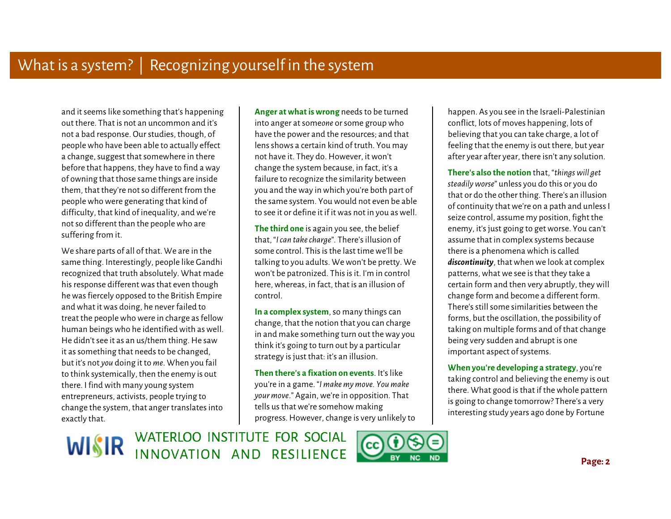Ì and it seems like something that's happening out there. That is not an uncommon and it's not a bad response. Our studies, though, of people who have been able to actually effect a change, suggest that somewhere in there before that happens, they have to find a way of owning that those same things are inside them, that they're not so different from the people who were generating that kind of difficulty, that kind of inequality, and we're not so different than the people who are suffering from it.

We share parts of all of that. We are in the same thing. Interestingly, people like Gandhi recognized that truth absolutely. What made his response different was that even though he was fiercely opposed to the British Empire and what it was doing, he never failed to treat the people who were in charge as fellow human beings who he identified with as well. He didn't see it as an us/them thing. He saw it as something that needs to be changed, but it's not *you* doing it to *me*. When you fail to think systemically, then the enemy is out there. I find with many young system entrepreneurs, activists, people trying to change the system, that anger translates into exactly that.

**Anger at what is wrong** needs to be turned into anger at some*one* or some group who have the power and the resources; and that lens shows a certain kind of truth. You may not have it. They do. However, it won't change the system because, in fact, it's a failure to recognize the similarity between you and the way in which you're both part of the same system. You would not even be able to see it or define it if it was not in you as well.

**The third one** is again you see, the belief that, "*I can take charge*"*.* There's illusion of some control. This is the last time we'll be talking to you adults. We won't be pretty. We won't be patronized. This is it. I'm in control here, whereas, in fact, that is an illusion of control.

**In a complex system**, so many things can change, that the notion that you can charge in and make something turn out the way you think it's going to turn out by a particular strategy is just that: it's an illusion.

**Then there's a fixation on events**. It's like you're in a game. "*I make my move. You make your move*." Again, we're in opposition. That tells us that we're somehow making progress. However, change is very unlikely to happen. As you see in the Israeli-Palestinian conflict, lots of moves happening, lots of believing that you can take charge, a lot of feeling that the enemy is out there, but year after year after year, there isn't any solution.

 Ì **There's also the notion** that, "*things will get steadily worse*" unless you do this or you do that or do the other thing. There's an illusion of continuity that we're on a path and unless I seize control, assume my position, fight the enemy, it's just going to get worse. You can't assume that in complex systems because there is a phenomena which is called *discontinuity*, that when we look at complex patterns, what we see is that they take a certain form and then very abruptly, they will change form and become a different form. There's still some similarities between the forms, but the oscillation, the possibility of taking on multiple forms and of that change being very sudden and abrupt is one important aspect of systems.

 **When you're developing a strategy**, you're taking control and believing the enemy is out there. What good is that if the whole pattern is going to change tomorrow? There's a very interesting study years ago done by Fortune

**WISIR WATERLOO INSTITUTE FOR SOCIAL WISIR** INNOVATION AND RESILIENCE